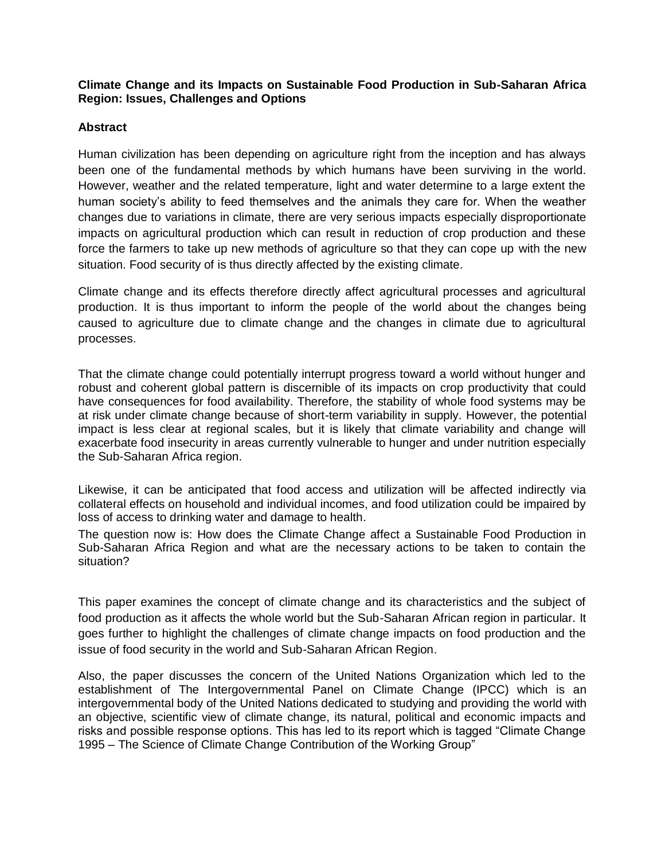## **Climate Change and its Impacts on Sustainable Food Production in Sub-Saharan Africa Region: Issues, Challenges and Options**

# **Abstract**

Human civilization has been depending on agriculture right from the inception and has always been one of the fundamental methods by which humans have been surviving in the world. However, weather and the related temperature, light and water determine to a large extent the human society's ability to feed themselves and the animals they care for. When the weather changes due to variations in climate, there are very serious impacts especially disproportionate impacts on agricultural production which can result in reduction of crop production and these force the farmers to take up new methods of agriculture so that they can cope up with the new situation. Food security of is thus directly affected by the existing climate.

Climate change and its effects therefore directly affect agricultural processes and agricultural production. It is thus important to inform the people of the world about the changes being caused to agriculture due to climate change and the changes in climate due to agricultural processes.

That the climate change could potentially interrupt progress toward a world without hunger and robust and coherent global pattern is discernible of its impacts on crop productivity that could have consequences for food availability. Therefore, the stability of whole food systems may be at risk under climate change because of short-term variability in supply. However, the potential impact is less clear at regional scales, but it is likely that climate variability and change will exacerbate food insecurity in areas currently vulnerable to hunger and under nutrition especially the Sub-Saharan Africa region.

Likewise, it can be anticipated that food access and utilization will be affected indirectly via collateral effects on household and individual incomes, and food utilization could be impaired by loss of access to drinking water and damage to health.

The question now is: How does the Climate Change affect a Sustainable Food Production in Sub-Saharan Africa Region and what are the necessary actions to be taken to contain the situation?

This paper examines the concept of climate change and its characteristics and the subject of food production as it affects the whole world but the Sub-Saharan African region in particular. It goes further to highlight the challenges of climate change impacts on food production and the issue of food security in the world and Sub-Saharan African Region.

Also, the paper discusses the concern of the United Nations Organization which led to the establishment of The Intergovernmental Panel on Climate Change (IPCC) which is an intergovernmental body of the United Nations dedicated to studying and providing the world with an objective, scientific view of climate change, its natural, political and economic impacts and risks and possible response options. This has led to its report which is tagged "Climate Change 1995 – The Science of Climate Change Contribution of the Working Group"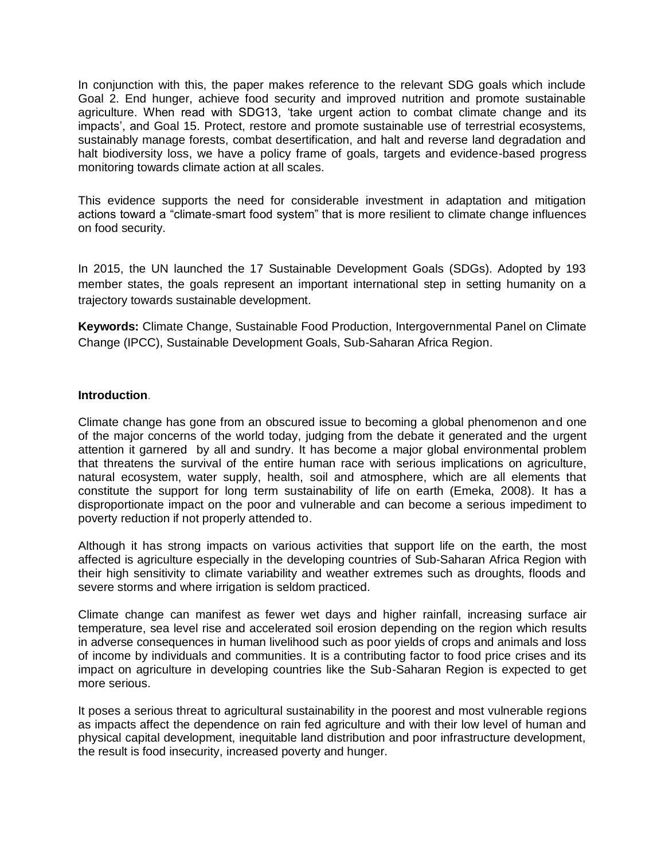In conjunction with this, the paper makes reference to the relevant SDG goals which include Goal 2. End hunger, achieve food security and improved nutrition and promote sustainable agriculture. When read with SDG13, "take urgent action to combat climate change and its impacts', and Goal 15. Protect, restore and promote sustainable use of terrestrial ecosystems. sustainably manage forests, combat desertification, and halt and reverse land degradation and halt biodiversity loss, we have a policy frame of goals, targets and evidence-based progress monitoring towards climate action at all scales.

This evidence supports the need for considerable investment in adaptation and mitigation actions toward a "climate-smart food system" that is more resilient to climate change influences on food security.

In 2015, the UN launched the 17 Sustainable Development Goals (SDGs). Adopted by 193 member states, the goals represent an important international step in setting humanity on a trajectory towards sustainable development.

**Keywords:** Climate Change, Sustainable Food Production, Intergovernmental Panel on Climate Change (IPCC), Sustainable Development Goals, Sub-Saharan Africa Region.

#### **Introduction**.

Climate change has gone from an obscured issue to becoming a global phenomenon and one of the major concerns of the world today, judging from the debate it generated and the urgent attention it garnered by all and sundry. It has become a major global environmental problem that threatens the survival of the entire human race with serious implications on agriculture, natural ecosystem, water supply, health, soil and atmosphere, which are all elements that constitute the support for long term sustainability of life on earth (Emeka, 2008). It has a disproportionate impact on the poor and vulnerable and can become a serious impediment to poverty reduction if not properly attended to.

Although it has strong impacts on various activities that support life on the earth, the most affected is agriculture especially in the developing countries of Sub-Saharan Africa Region with their high sensitivity to climate variability and weather extremes such as droughts, floods and severe storms and where irrigation is seldom practiced.

Climate change can manifest as fewer wet days and higher rainfall, increasing surface air temperature, sea level rise and accelerated soil erosion depending on the region which results in adverse consequences in human livelihood such as poor yields of crops and animals and loss of income by individuals and communities. It is a contributing factor to food price crises and its impact on agriculture in developing countries like the Sub-Saharan Region is expected to get more serious.

It poses a serious threat to agricultural sustainability in the poorest and most vulnerable regions as impacts affect the dependence on rain fed agriculture and with their low level of human and physical capital development, inequitable land distribution and poor infrastructure development, the result is food insecurity, increased poverty and hunger.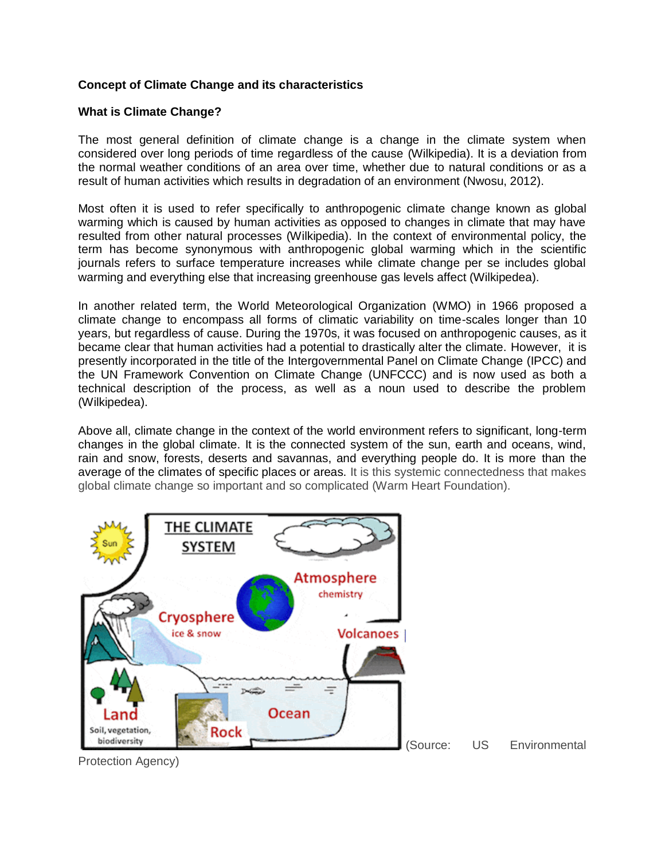# **Concept of Climate Change and its characteristics**

## **What is Climate Change?**

The most general definition of climate change is a change in the climate system when considered over long periods of time regardless of the cause (Wilkipedia). It is a deviation from the normal weather conditions of an area over time, whether due to natural conditions or as a result of human activities which results in degradation of an environment (Nwosu, 2012).

Most often it is used to refer specifically to anthropogenic climate change known as global warming which is caused by human activities as opposed to changes in climate that may have resulted from other natural processes (Wilkipedia). In the context of environmental policy, the term has become synonymous with anthropogenic global warming which in the scientific journals refers to surface temperature increases while climate change per se includes global warming and everything else that increasing greenhouse gas levels affect (Wilkipedea).

In another related term, the [World Meteorological Organization](https://en.wikipedia.org/wiki/World_Meteorological_Organization) (WMO) in 1966 proposed a climate change to encompass all forms of climatic variability on time-scales longer than 10 years, but regardless of cause. During the 1970s, it was focused on anthropogenic causes, as it became clear that human activities had a potential to drastically alter the climate. However, it is presently incorporated in the title of the [Intergovernmental Panel on Climate Change](https://en.wikipedia.org/wiki/Intergovernmental_Panel_on_Climate_Change) (IPCC) and the [UN Framework Convention on Climate Change](https://en.wikipedia.org/wiki/UN_Framework_Convention_on_Climate_Change) (UNFCCC) and is now used as both a technical description of the process, as well as a noun used to describe the problem (Wilkipedea).

Above all, climate change in the context of the world environment refers to significant, long-term changes in the global climate. It is the connected system of the sun, earth and oceans, wind, rain and snow, forests, deserts and savannas, and everything people do. It is more than the average of the climates of specific places or areas. It is this systemic connectedness that makes global climate change so important and so complicated (Warm Heart Foundation).

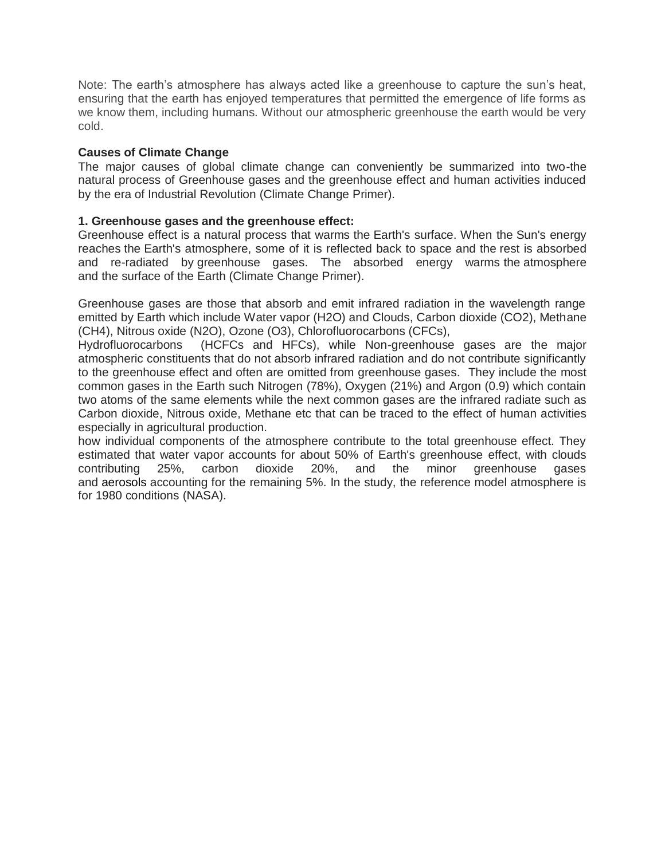Note: The earth's atmosphere has always acted like a greenhouse to capture the sun's heat, ensuring that the earth has enjoyed temperatures that permitted the emergence of life forms as we know them, including humans. Without our atmospheric greenhouse the earth would be very cold.

### **Causes of Climate Change**

The major causes of global climate change can conveniently be summarized into two-the natural process of Greenhouse gases and the greenhouse effect and human activities induced by the era of Industrial Revolution (Climate Change Primer).

### **1. Greenhouse gases and the greenhouse effect:**

Greenhouse effect is a natural process that warms the Earth's surface. When the Sun's energy reaches the Earth's atmosphere, some of it is reflected back to space and the rest is absorbed and re-radiated by greenhouse gases. The absorbed energy warms the atmosphere and the surface of the Earth (Climate Change Primer).

Greenhouse gases are those that absorb and emit infrared radiation in the wavelength range emitted by Earth which include Water vapor (H2O) and Clouds, Carbon dioxide (CO2), Methane (CH4), Nitrous oxide (N2O), Ozone (O3), Chlorofluorocarbons (CFCs),

Hydrofluorocarbons (HCFCs and HFCs), while Non-greenhouse gases are the major atmospheric constituents that do not absorb infrared radiation and do not contribute significantly to the greenhouse effect and often are omitted from greenhouse gases. They include the most common gases in the Earth such Nitrogen (78%), Oxygen (21%) and Argon (0.9) which contain two atoms of the same elements while the next common gases are the infrared radiate such as Carbon dioxide, Nitrous oxide, Methane etc that can be traced to the effect of human activities especially in agricultural production.

how individual components of the atmosphere contribute to the total greenhouse effect. They estimated that water vapor accounts for about 50% of Earth's greenhouse effect, with clouds contributing 25%, carbon dioxide 20%, and the minor greenhouse gases and [aerosols](https://en.wikipedia.org/wiki/Aerosol) accounting for the remaining 5%. In the study, the reference model atmosphere is for 1980 conditions (NASA).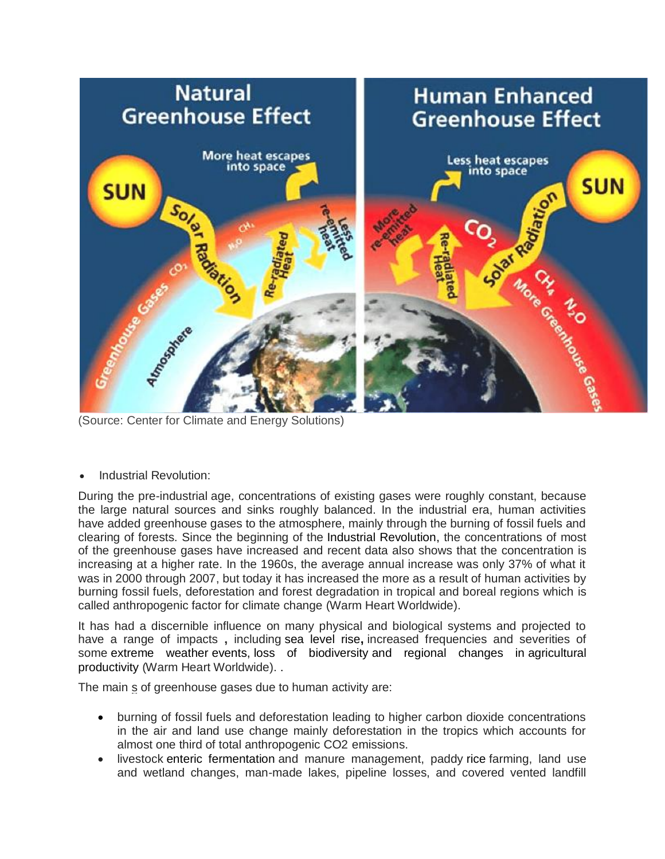

(Source: Center for Climate and Energy Solutions)

Industrial Revolution:

During the pre-industrial age, concentrations of existing gases were roughly constant, because the large natural sources and sinks roughly balanced. In the industrial era, human activities have added greenhouse gases to the atmosphere, mainly through the burning of fossil fuels and clearing of forests. Since the beginning of the [Industrial Revolution,](https://en.wikipedia.org/wiki/Industrial_Revolution) the concentrations of most of the greenhouse gases have increased and recent data also shows that the concentration is increasing at a higher rate. In the 1960s, the average annual increase was only 37% of what it was in 2000 through 2007, but today it has increased the more as a result of human activities by burning fossil fuels, deforestation and forest degradation in tropical and boreal regions which is called anthropogenic factor for climate change (Warm Heart Worldwide).

It has had a discernible influence on many physical and biological systems and projected to have a range of impacts **,** including [sea level rise](https://en.wikipedia.org/wiki/Sea_level_rise)**,** increased frequencies and severities of some [extreme weather](https://en.wikipedia.org/wiki/Extreme_weather) events, [loss of biodiversity](https://en.wikipedia.org/wiki/Loss_of_biodiversity) and regional changes in agricultural productivity (Warm Heart Worldwide). .

The main s of greenhouse gases due to human activity are:

- burning of fossil fuels and deforestation leading to higher carbon dioxide concentrations in the air and land use change mainly deforestation in the tropics which accounts for almost one third of total anthropogenic CO2 emissions.
- livestock [enteric fermentation](https://en.wikipedia.org/wiki/Enteric_fermentation) and manure management, paddy [rice](https://en.wikipedia.org/wiki/Rice) farming, land use and wetland changes, man-made lakes, pipeline losses, and covered vented landfill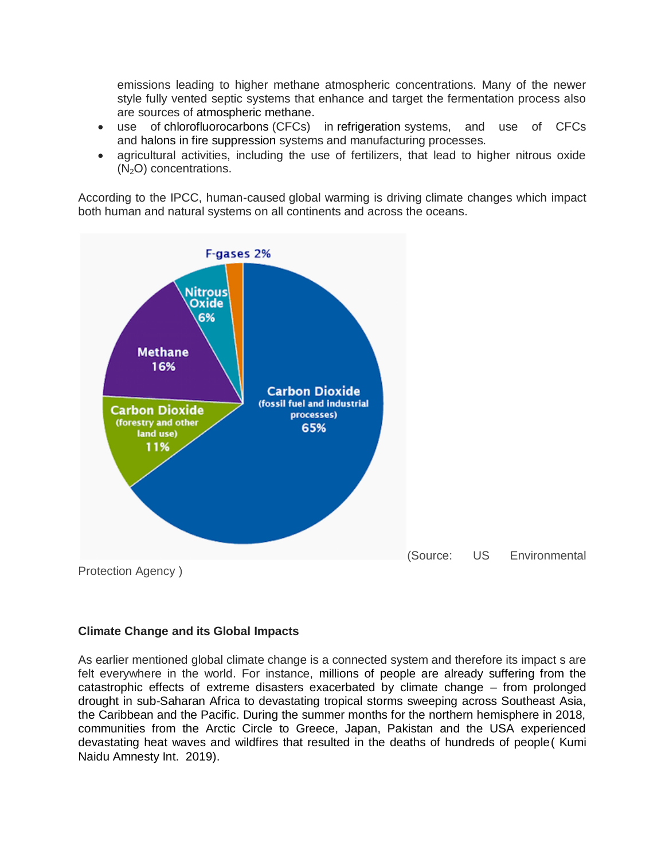emissions leading to higher methane atmospheric concentrations. Many of the newer style fully vented septic systems that enhance and target the fermentation process also are sources of [atmospheric methane.](https://en.wikipedia.org/wiki/Atmospheric_methane)

- use of [chlorofluorocarbons](https://en.wikipedia.org/wiki/Chlorofluorocarbons) (CFCs) in [refrigeration](https://en.wikipedia.org/wiki/Refrigeration) systems, and use of CFCs and [halons](https://en.wikipedia.org/wiki/Halomethane#Fire_extinguishing) in [fire suppression](https://en.wikipedia.org/wiki/Fire_extinguisher) systems and manufacturing processes.
- agricultural activities, including the use of fertilizers, that lead to higher nitrous oxide  $(N<sub>2</sub>O)$  concentrations.

According to the IPCC, human-caused global warming is driving climate changes which impact both human and natural systems on all continents and across the oceans.



## **Climate Change and its Global Impacts**

As earlier mentioned global climate change is a connected system and therefore its impact s are felt everywhere in the world. For instance, millions of people are already suffering from the catastrophic effects of extreme disasters exacerbated by climate change – from prolonged drought in sub-Saharan Africa to devastating tropical storms sweeping across Southeast Asia, the Caribbean and the Pacific. During the summer months for the northern hemisphere in 2018, communities from the Arctic Circle to Greece, Japan, Pakistan and the USA experienced devastating heat waves and wildfires that resulted in the deaths of hundreds of people( Kumi Naidu Amnesty Int. 2019).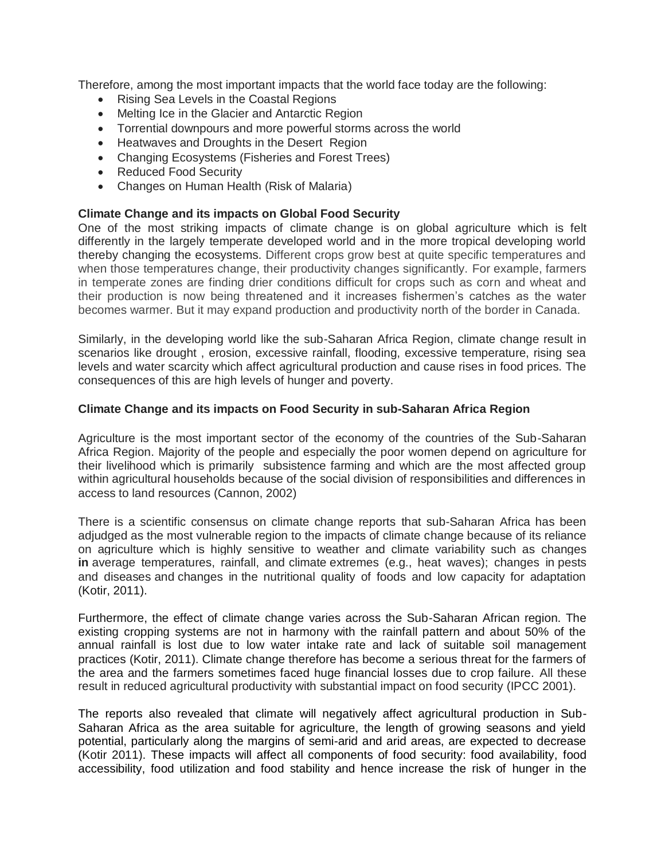Therefore, among the most important impacts that the world face today are the following:

- Rising Sea Levels in the Coastal Regions
- Melting Ice in the Glacier and Antarctic Region
- Torrential downpours and more powerful storms across the world
- Heatwaves and Droughts in the Desert Region
- Changing Ecosystems (Fisheries and Forest Trees)
- Reduced Food Security
- Changes on Human Health (Risk of Malaria)

#### **Climate Change and its impacts on Global Food Security**

One of the most striking impacts of climate change is on global agriculture which is felt differently in the largely temperate developed world and in the more tropical developing world thereby changing the ecosystems. Different crops grow best at quite specific temperatures and when those temperatures change, their productivity changes significantly. For example, farmers in temperate zones are finding drier conditions difficult for crops such as corn and wheat and their production is now being threatened and it increases fishermen"s catches as the water becomes warmer. But it may expand production and productivity north of the border in Canada.

Similarly, in the developing world like the sub-Saharan Africa Region, climate change result in scenarios like drought , erosion, excessive rainfall, flooding, excessive temperature, rising sea levels and water scarcity which affect agricultural production and cause rises in food prices. The consequences of this are high levels of hunger and poverty.

#### **Climate Change and its impacts on Food Security in sub-Saharan Africa Region**

Agriculture is the most important sector of the economy of the countries of the Sub-Saharan Africa Region. Majority of the people and especially the poor women depend on agriculture for their livelihood which is primarily subsistence farming and which are the most affected group within agricultural households because of the social division of responsibilities and differences in access to land resources (Cannon, 2002)

There is a scientific consensus on climate change reports that sub-Saharan Africa has been adjudged as the most vulnerable region to the impacts of climate change because of its reliance on agriculture which is highly sensitive to weather and climate variability such as changes **in** average temperatures, rainfall, and climate extremes (e.g., heat waves); changes in pests and diseases and changes in the nutritional quality of foods and low capacity for adaptation (Kotir, 2011).

Furthermore, the effect of climate change varies across the Sub-Saharan African region. The existing cropping systems are not in harmony with the rainfall pattern and about 50% of the annual rainfall is lost due to low water intake rate and lack of suitable soil management practices (Kotir, 2011). Climate change therefore has become a serious threat for the farmers of the area and the farmers sometimes faced huge financial losses due to crop failure. All these result in reduced agricultural productivity with substantial impact on food security (IPCC 2001).

The reports also revealed that climate will negatively affect agricultural production in Sub-Saharan Africa as the area suitable for agriculture, the length of growing seasons and yield potential, particularly along the margins of semi-arid and arid areas, are expected to decrease (Kotir 2011). These impacts will affect all components of food security: food availability, food accessibility, food utilization and food stability and hence increase the risk of hunger in the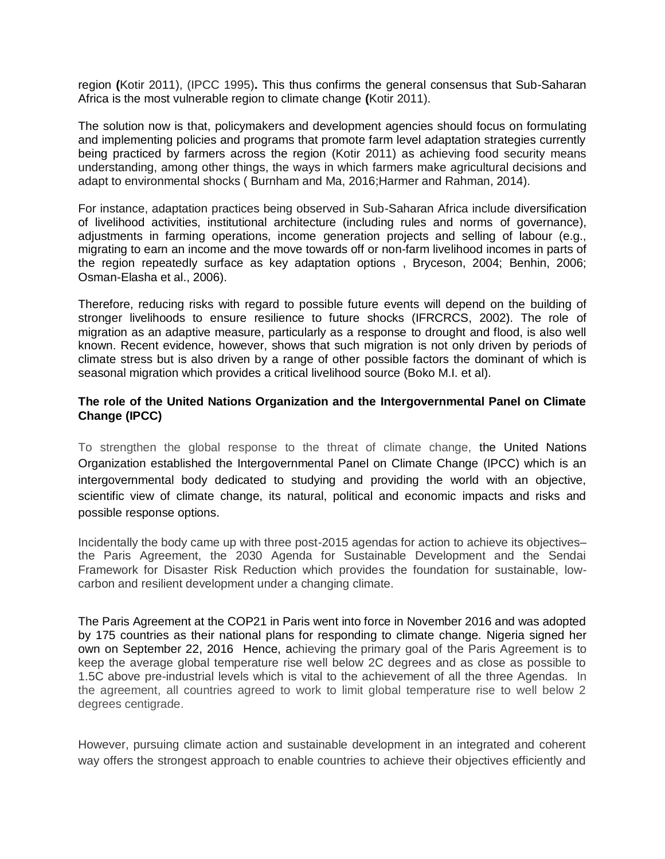region **(**Kotir 2011), (IPCC 1995)**.** This thus confirms the general consensus that Sub-Saharan Africa is the most vulnerable region to climate change **(**Kotir 2011).

The solution now is that, policymakers and development agencies should focus on formulating and implementing policies and programs that promote farm level adaptation strategies currently being practiced by farmers across the region (Kotir 2011) as achieving food security means understanding, among other things, the ways in which farmers make agricultural decisions and adapt to environmental shocks ( Burnham and Ma, 2016;Harmer and Rahman, 2014).

For instance, adaptation practices being observed in Sub-Saharan Africa include diversification of livelihood activities, institutional architecture (including rules and norms of governance), adjustments in farming operations, income generation projects and selling of labour (e.g., migrating to earn an income and the move towards off or non-farm livelihood incomes in parts of the region repeatedly surface as key adaptation options , Bryceson, 2004; Benhin, 2006; Osman-Elasha et al., 2006).

Therefore, reducing risks with regard to possible future events will depend on the building of stronger livelihoods to ensure resilience to future shocks (IFRCRCS, 2002). The role of migration as an adaptive measure, particularly as a response to drought and flood, is also well known. Recent evidence, however, shows that such migration is not only driven by periods of climate stress but is also driven by a range of other possible factors the dominant of which is seasonal migration which provides a critical livelihood source (Boko M.I. et al).

### **The role of the United Nations Organization and the Intergovernmental Panel on Climate Change (IPCC)**

To strengthen the global response to the threat of climate change, the United Nations Organization established the Intergovernmental Panel on Climate Change (IPCC) which is an intergovernmental body dedicated to studying and providing the world with an objective, scientific view of climate change, its natural, political and economic impacts and risks and possible response options.

Incidentally the body came up with three post-2015 agendas for action to achieve its objectives– the Paris Agreement, the 2030 Agenda for Sustainable Development and the Sendai Framework for Disaster Risk Reduction which provides the foundation for sustainable, lowcarbon and resilient development under a changing climate.

The Paris Agreement at the COP21 in Paris went into force in November 2016 and was adopted by 175 countries as their national plans for responding to climate change. Nigeria signed her own on September 22, 2016 Hence, achieving the primary goal of the Paris Agreement is to keep the average global temperature rise well below 2C degrees and as close as possible to 1.5C above pre-industrial levels which is vital to the achievement of all the three Agendas. In the agreement, all countries agreed to work to limit global temperature rise to well below 2 degrees centigrade.

However, pursuing climate action and sustainable development in an integrated and coherent way offers the strongest approach to enable countries to achieve their objectives efficiently and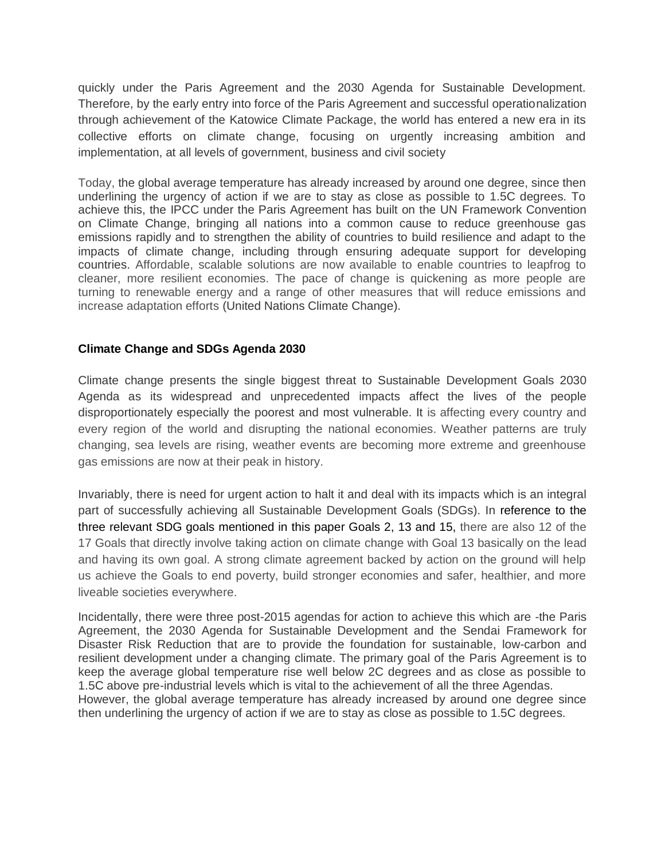quickly under the Paris Agreement and the 2030 Agenda for Sustainable Development. Therefore, by the early entry into force of the Paris Agreement and successful operationalization through achievement of the Katowice Climate Package, the world has entered a new era in its collective efforts on climate change, focusing on urgently increasing ambition and implementation, at all levels of government, business and civil society

Today, the global average temperature has already increased by around one degree, since then underlining the urgency of action if we are to stay as close as possible to 1.5C degrees. To achieve this, the IPCC under the Paris Agreement has built on the UN Framework Convention on Climate Change, bringing all nations into a common cause to reduce greenhouse gas emissions rapidly and to strengthen the ability of countries to build resilience and adapt to the impacts of climate change, including through ensuring adequate support for developing countries. Affordable, scalable solutions are now available to enable countries to leapfrog to cleaner, more resilient economies. The pace of change is quickening as more people are turning to renewable energy and a range of other measures that will reduce emissions and increase adaptation efforts (United Nations Climate Change).

### **Climate Change and SDGs Agenda 2030**

Climate change presents the single biggest threat to Sustainable Development Goals 2030 Agenda as its widespread and unprecedented impacts affect the lives of the people disproportionately especially the poorest and most vulnerable. It is affecting every country and every region of the world and disrupting the national economies. Weather patterns are truly changing, sea levels are rising, weather events are becoming more extreme and greenhouse gas emissions are now at their peak in history.

Invariably, there is need for urgent action to halt it and deal with its impacts which is an integral part of successfully achieving all Sustainable Development Goals (SDGs). In reference to the three relevant SDG goals mentioned in this paper Goals 2, 13 and 15, there are also 12 of the 17 Goals that directly involve taking action on climate change with Goal 13 basically on the lead and having its own goal. A strong climate agreement backed by action on the ground will help us achieve the Goals to end poverty, build stronger economies and safer, healthier, and more liveable societies everywhere.

Incidentally, there were three post-2015 agendas for action to achieve this which are -the Paris Agreement, the 2030 Agenda for Sustainable Development and the Sendai Framework for Disaster Risk Reduction that are to provide the foundation for sustainable, low-carbon and resilient development under a changing climate. The primary goal of the Paris Agreement is to keep the average global temperature rise well below 2C degrees and as close as possible to 1.5C above pre-industrial levels which is vital to the achievement of all the three Agendas. However, the global average temperature has already increased by around one degree since then underlining the urgency of action if we are to stay as close as possible to 1.5C degrees.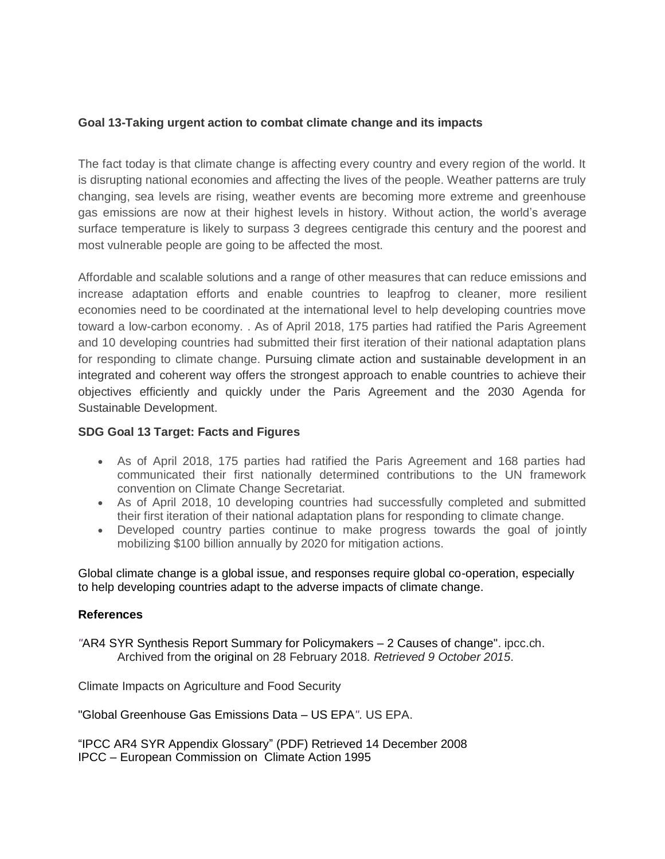# **Goal 13-Taking urgent action to combat climate change and its impacts**

The fact today is that climate change is affecting every country and every region of the world. It is disrupting national economies and affecting the lives of the people. Weather patterns are truly changing, sea levels are rising, weather events are becoming more extreme and greenhouse gas emissions are now at their highest levels in history. Without action, the world"s average surface temperature is likely to surpass 3 degrees centigrade this century and the poorest and most vulnerable people are going to be affected the most.

Affordable and scalable solutions and a range of other measures that can reduce emissions and increase adaptation efforts and enable countries to leapfrog to cleaner, more resilient economies need to be coordinated at the international level to help developing countries move toward a low-carbon economy. . As of April 2018, 175 parties had ratified the Paris Agreement and 10 developing countries had submitted their first iteration of their national adaptation plans for responding to climate change. Pursuing climate action and sustainable development in an integrated and coherent way offers the strongest approach to enable countries to achieve their objectives efficiently and quickly under the Paris Agreement and the 2030 Agenda for Sustainable Development.

## **SDG Goal 13 Target: Facts and Figures**

- As of April 2018, 175 parties had ratified the Paris Agreement and 168 parties had communicated their first nationally determined contributions to the UN framework convention on Climate Change Secretariat.
- As of April 2018, 10 developing countries had successfully completed and submitted their first iteration of their national adaptation plans for responding to climate change.
- Developed country parties continue to make progress towards the goal of jointly mobilizing \$100 billion annually by 2020 for mitigation actions.

Global climate change is a global issue, and responses require global co-operation, especially to help developing countries adapt to the adverse impacts of climate change.

## **References**

*"*[AR4 SYR Synthesis Report Summary for Policymakers –](https://web.archive.org/web/20180228235005/http:/www.ipcc.ch/publications_and_data/ar4/syr/en/spms2.html) 2 Causes of change". ipcc.ch. Archived from [the original](https://www.ipcc.ch/publications_and_data/ar4/syr/en/spms2.html) on 28 February 2018*. Retrieved 9 October 2015*.

Climate Impacts on Agriculture and Food Security

["Global Greenhouse Gas Emissions Data –](https://www.epa.gov/ghgemissions/global-greenhouse-gas-emissions-data) US EPA*"*. US EPA.

"IPCC AR4 SYR Appendix Glossary" (PDF) Retrieved 14 December 2008 IPCC – European Commission on Climate Action 1995